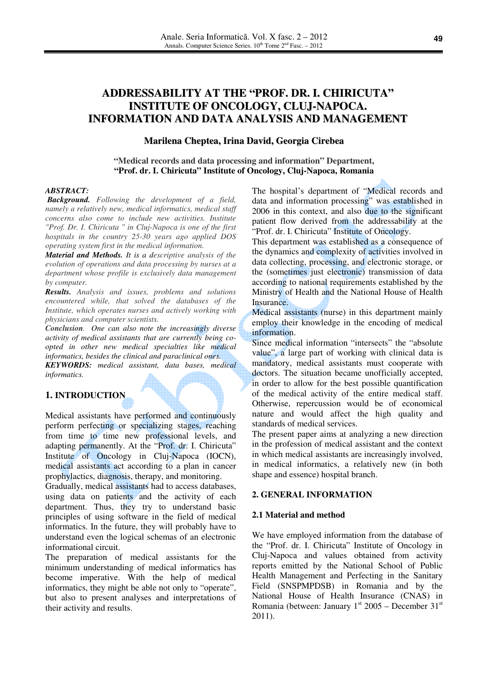# **ADDRESSABILITY AT THE "PROF. DR. I. CHIRICUTA" INSTITUTE OF ONCOLOGY, CLUJ-NAPOCA. INFORMATION AND DATA ANALYSIS AND MANAGEMENT**

#### **Marilena Cheptea, Irina David, Georgia Cirebea**

#### **"Medical records and data processing and information" Department, "Prof. dr. I. Chiricuta" Institute of Oncology, Cluj-Napoca, Romania**

#### *ABSTRACT:*

 *Background. Following the development of a field, namely a relatively new, medical informatics, medical staff concerns also come to include new activities. Institute "Prof. Dr. I. Chiricuta " in Cluj-Napoca is one of the first hospitals in the country 25-30 years ago applied DOS operating system first in the medical information.* 

*Material and Methods. It is a descriptive analysis of the evolution of operations and data processing by nurses at a department whose profile is exclusively data management by computer.* 

*Results. Analysis and issues, problems and solutions encountered while, that solved the databases of the Institute, which operates nurses and actively working with physicians and computer scientists.* 

*Conclusion. One can also note the increasingly diverse activity of medical assistants that are currently being coopted in other new medical specialties like medical informatics, besides the clinical and paraclinical ones. KEYWORDS: medical assistant, data bases, medical informatics.* 

# **1. INTRODUCTION**

Medical assistants have performed and continuously perform perfecting or specializing stages, reaching from time to time new professional levels, and adapting permanently. At the "Prof. dr. I. Chiricuta" Institute of Oncology in Cluj-Napoca (IOCN), medical assistants act according to a plan in cancer prophylactics, diagnosis, therapy, and monitoring.

Gradually, medical assistants had to access databases, using data on patients and the activity of each department. Thus, they try to understand basic principles of using software in the field of medical informatics. In the future, they will probably have to understand even the logical schemas of an electronic informational circuit.

The preparation of medical assistants for the minimum understanding of medical informatics has become imperative. With the help of medical informatics, they might be able not only to "operate", but also to present analyses and interpretations of their activity and results.

The hospital's department of "Medical records and data and information processing" was established in 2006 in this context, and also due to the significant patient flow derived from the addressability at the "Prof. dr. I. Chiricuta" Institute of Oncology.

This department was established as a consequence of the dynamics and complexity of activities involved in data collecting, processing, and electronic storage, or the (sometimes just electronic) transmission of data according to national requirements established by the Ministry of Health and the National House of Health Insurance.

Medical assistants (nurse) in this department mainly employ their knowledge in the encoding of medical information.

Since medical information "intersects" the "absolute value", a large part of working with clinical data is mandatory, medical assistants must cooperate with doctors. The situation became unofficially accepted, in order to allow for the best possible quantification of the medical activity of the entire medical staff. Otherwise, repercussion would be of economical nature and would affect the high quality and standards of medical services.

The present paper aims at analyzing a new direction in the profession of medical assistant and the context in which medical assistants are increasingly involved, in medical informatics, a relatively new (in both shape and essence) hospital branch.

# **2. GENERAL INFORMATION**

#### **2.1 Material and method**

We have employed information from the database of the "Prof. dr. I. Chiricuta" Institute of Oncology in Cluj-Napoca and values obtained from activity reports emitted by the National School of Public Health Management and Perfecting in the Sanitary Field (SNSPMPDSB) in Romania and by the National House of Health Insurance (CNAS) in Romania (between: January  $1<sup>st</sup>$  2005 – December  $31<sup>st</sup>$ 2011).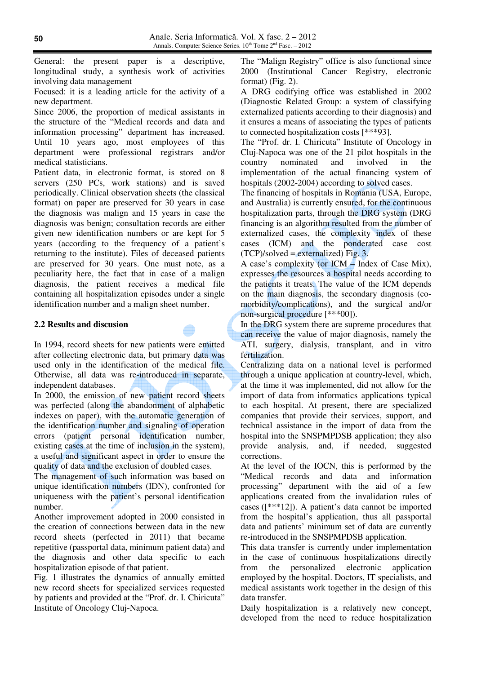General: the present paper is a descriptive, longitudinal study, a synthesis work of activities involving data management

Focused: it is a leading article for the activity of a new department.

Since 2006, the proportion of medical assistants in the structure of the "Medical records and data and information processing" department has increased. Until 10 years ago, most employees of this department were professional registrars and/or medical statisticians.

Patient data, in electronic format, is stored on 8 servers (250 PCs, work stations) and is saved periodically. Clinical observation sheets (the classical format) on paper are preserved for 30 years in case the diagnosis was malign and 15 years in case the diagnosis was benign; consultation records are either given new identification numbers or are kept for 5 years (according to the frequency of a patient's returning to the institute). Files of deceased patients are preserved for 30 years. One must note, as a peculiarity here, the fact that in case of a malign diagnosis, the patient receives a medical file containing all hospitalization episodes under a single identification number and a malign sheet number.

# **2.2 Results and discusion**

In 1994, record sheets for new patients were emitted after collecting electronic data, but primary data was used only in the identification of the medical file. Otherwise, all data was re-introduced in separate, independent databases.

In 2000, the emission of new patient record sheets was perfected (along the abandonment of alphabetic indexes on paper), with the automatic generation of the identification number and signaling of operation errors (patient personal identification number, existing cases at the time of inclusion in the system), a useful and significant aspect in order to ensure the quality of data and the exclusion of doubled cases.

The management of such information was based on unique identification numbers (IDN), confronted for uniqueness with the patient's personal identification number.

Another improvement adopted in 2000 consisted in the creation of connections between data in the new record sheets (perfected in 2011) that became repetitive (passportal data, minimum patient data) and the diagnosis and other data specific to each hospitalization episode of that patient.

Fig. 1 illustrates the dynamics of annually emitted new record sheets for specialized services requested by patients and provided at the "Prof. dr. I. Chiricuta" Institute of Oncology Cluj-Napoca.

The "Malign Registry" office is also functional since 2000 (Institutional Cancer Registry, electronic format) (Fig. 2).

A DRG codifying office was established in 2002 (Diagnostic Related Group: a system of classifying externalized patients according to their diagnosis) and it ensures a means of associating the types of patients to connected hospitalization costs [\*\*\*93].

The "Prof. dr. I. Chiricuta" Institute of Oncology in Cluj-Napoca was one of the 21 pilot hospitals in the country nominated and involved in the implementation of the actual financing system of hospitals (2002-2004) according to solved cases.

The financing of hospitals in Romania (USA, Europe, and Australia) is currently ensured, for the continuous hospitalization parts, through the DRG system (DRG financing is an algorithm resulted from the number of externalized cases, the complexity index of these cases (ICM) and the ponderated case cost  $(TCP)/solved = externalized$ ) Fig. 3.

A case's complexity (or ICM – Index of Case Mix), expresses the resources a hospital needs according to the patients it treats. The value of the ICM depends on the main diagnosis, the secondary diagnosis (comorbidity/complications), and the surgical and/or non-surgical procedure [\*\*\*00]).

In the DRG system there are supreme procedures that can receive the value of major diagnosis, namely the ATI, surgery, dialysis, transplant, and in vitro fertilization.

Centralizing data on a national level is performed through a unique application at country-level, which, at the time it was implemented, did not allow for the import of data from informatics applications typical to each hospital. At present, there are specialized companies that provide their services, support, and technical assistance in the import of data from the hospital into the SNSPMPDSB application; they also provide analysis, and, if needed, suggested corrections.

At the level of the IOCN, this is performed by the "Medical records and data and information processing" department with the aid of a few applications created from the invalidation rules of cases ([\*\*\*12]). A patient's data cannot be imported from the hospital's application, thus all passportal data and patients' minimum set of data are currently re-introduced in the SNSPMPDSB application.

This data transfer is currently under implementation in the case of continuous hospitalizations directly from the personalized electronic application employed by the hospital. Doctors, IT specialists, and medical assistants work together in the design of this data transfer.

Daily hospitalization is a relatively new concept, developed from the need to reduce hospitalization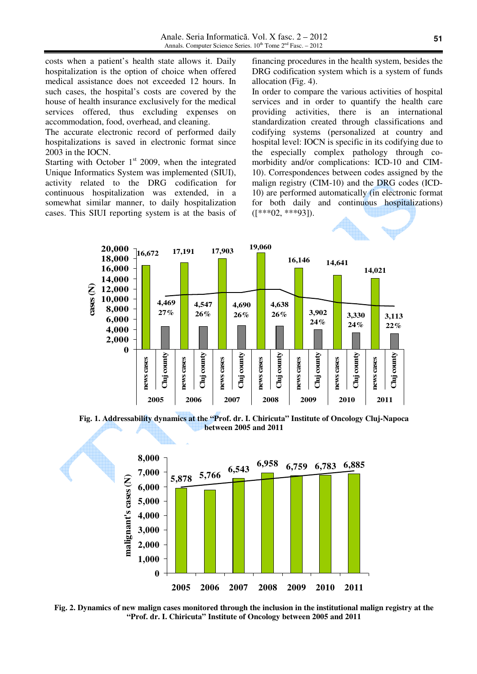costs when a patient's health state allows it. Daily hospitalization is the option of choice when offered medical assistance does not exceeded 12 hours. In such cases, the hospital's costs are covered by the house of health insurance exclusively for the medical services offered, thus excluding expenses on accommodation, food, overhead, and cleaning.

The accurate electronic record of performed daily hospitalizations is saved in electronic format since 2003 in the IOCN.

Starting with October  $1<sup>st</sup>$  2009, when the integrated Unique Informatics System was implemented (SIUI), activity related to the DRG codification for continuous hospitalization was extended, in a somewhat similar manner, to daily hospitalization cases. This SIUI reporting system is at the basis of financing procedures in the health system, besides the DRG codification system which is a system of funds allocation (Fig. 4).

In order to compare the various activities of hospital services and in order to quantify the health care providing activities, there is an international standardization created through classifications and codifying systems (personalized at country and hospital level: IOCN is specific in its codifying due to the especially complex pathology through comorbidity and/or complications: ICD-10 and CIM-10). Correspondences between codes assigned by the malign registry (CIM-10) and the DRG codes (ICD-10) are performed automatically (in electronic format for both daily and continuous hospitalizations)  $([***02,***93]).$ 



**Fig. 1. Addressability dynamics at the "Prof. dr. I. Chiricuta" Institute of Oncology Cluj-Napoca between 2005 and 2011** 



**Fig. 2. Dynamics of new malign cases monitored through the inclusion in the institutional malign registry at the "Prof. dr. I. Chiricuta" Institute of Oncology between 2005 and 2011**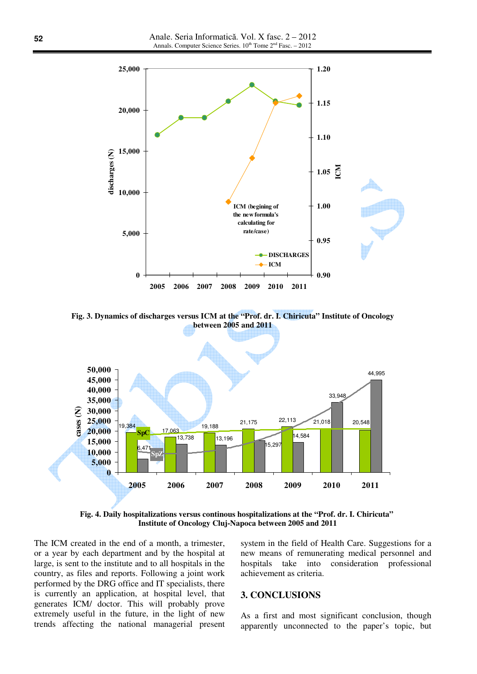

**Fig. 3. Dynamics of discharges versus ICM at the "Prof. dr. I. Chiricuta" Institute of Oncology between 2005 and 2011** 



**Fig. 4. Daily hospitalizations versus continous hospitalizations at the "Prof. dr. I. Chiricuta" Institute of Oncology Cluj-Napoca between 2005 and 2011** 

The ICM created in the end of a month, a trimester, or a year by each department and by the hospital at large, is sent to the institute and to all hospitals in the country, as files and reports. Following a joint work performed by the DRG office and IT specialists, there is currently an application, at hospital level, that generates ICM/ doctor. This will probably prove extremely useful in the future, in the light of new trends affecting the national managerial present system in the field of Health Care. Suggestions for a new means of remunerating medical personnel and hospitals take into consideration professional achievement as criteria.

### **3. CONCLUSIONS**

As a first and most significant conclusion, though apparently unconnected to the paper's topic, but